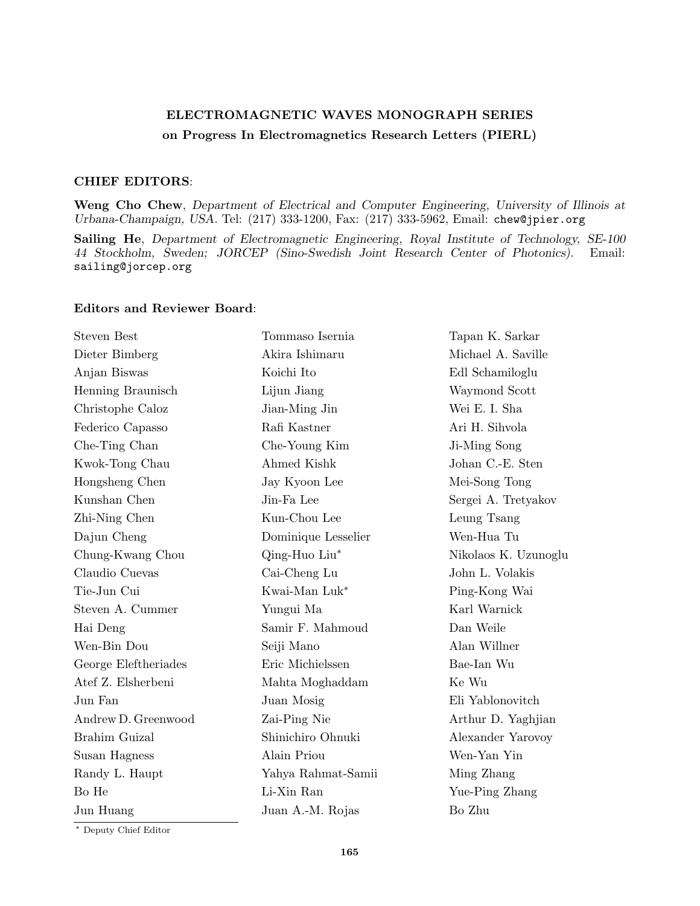## ELECTROMAGNETIC WAVES MONOGRAPH SERIES on Progress In Electromagnetics Research Letters (PIERL)

## CHIEF EDITORS:

Weng Cho Chew, Department of Electrical and Computer Engineering, University of Illinois at Urbana-Champaign, USA. Tel: (217) 333-1200, Fax: (217) 333-5962, Email: chew@jpier.org

Sailing He, Department of Electromagnetic Engineering, Royal Institute of Technology, SE-100 44 Stockholm, Sweden; JORCEP (Sino-Swedish Joint Research Center of Photonics). Email: sailing@jorcep.org

## Editors and Reviewer Board:

| <b>Steven Best</b>   | Tommaso Isernia     | Tapan K. Sarkar      |
|----------------------|---------------------|----------------------|
| Dieter Bimberg       | Akira Ishimaru      | Michael A. Saville   |
| Anjan Biswas         | Koichi Ito          | Edl Schamiloglu      |
| Henning Braunisch    | Lijun Jiang         | Waymond Scott        |
| Christophe Caloz     | Jian-Ming Jin       | Wei E. I. Sha        |
| Federico Capasso     | Rafi Kastner        | Ari H. Sihvola       |
| Che-Ting Chan        | Che-Young Kim       | Ji-Ming Song         |
| Kwok-Tong Chau       | Ahmed Kishk         | Johan C.-E. Sten     |
| Hongsheng Chen       | Jay Kyoon Lee       | Mei-Song Tong        |
| Kunshan Chen         | Jin-Fa Lee          | Sergei A. Tretyakov  |
| Zhi-Ning Chen        | Kun-Chou Lee        | Leung Tsang          |
| Dajun Cheng          | Dominique Lesselier | Wen-Hua Tu           |
| Chung-Kwang Chou     | Qing-Huo Liu*       | Nikolaos K. Uzunoglu |
| Claudio Cuevas       | Cai-Cheng Lu        | John L. Volakis      |
| Tie-Jun Cui          | Kwai-Man Luk*       | Ping-Kong Wai        |
| Steven A. Cummer     | Yungui Ma           | Karl Warnick         |
| Hai Deng             | Samir F. Mahmoud    | Dan Weile            |
| Wen-Bin Dou          | Seiji Mano          | Alan Willner         |
| George Eleftheriades | Eric Michielssen    | Bae-Ian Wu           |
| Atef Z. Elsherbeni   | Mahta Moghaddam     | Ke Wu                |
| Jun Fan              | Juan Mosig          | Eli Yablonovitch     |
| Andrew D. Greenwood  | Zai-Ping Nie        | Arthur D. Yaghjian   |
| Brahim Guizal        | Shinichiro Ohnuki   | Alexander Yarovoy    |
| Susan Hagness        | Alain Priou         | Wen-Yan Yin          |
| Randy L. Haupt       | Yahya Rahmat-Samii  | Ming Zhang           |
| Bo He                | Li-Xin Ran          | Yue-Ping Zhang       |
| Jun Huang            | Juan A.-M. Rojas    | Bo Zhu               |
|                      |                     |                      |

<sup>∗</sup> Deputy Chief Editor